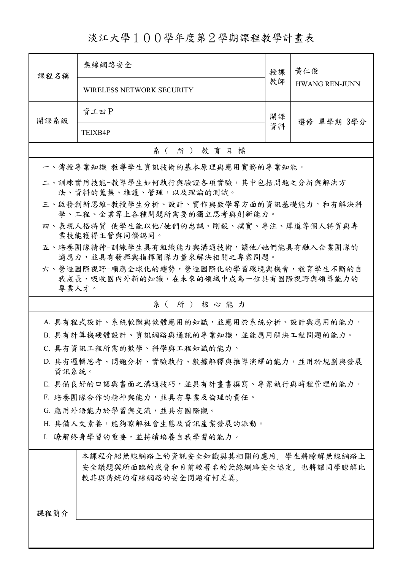淡江大學100學年度第2學期課程教學計畫表

| 課程名稱                                                                                               | 無線網路安全                                                                  | 授課               | 黃仁俊                   |  |  |
|----------------------------------------------------------------------------------------------------|-------------------------------------------------------------------------|------------------|-----------------------|--|--|
|                                                                                                    | WIRELESS NETWORK SECURITY                                               |                  | <b>HWANG REN-JUNN</b> |  |  |
| 開課系級                                                                                               | 資工四P                                                                    | 開課<br>選修 單學期 3學分 |                       |  |  |
|                                                                                                    | TEIXB4P                                                                 |                  |                       |  |  |
|                                                                                                    | 系(所)教育目標                                                                |                  |                       |  |  |
|                                                                                                    | 一、傳授專業知識-教導學生資訊技術的基本原理與應用實務的專業知能。                                       |                  |                       |  |  |
|                                                                                                    | 二、訓練實用技能-教導學生如何執行與驗證各項實驗,其中包括問題之分析與解決方<br>法、資料的蒐集、維護、管理,以及理論的測試。        |                  |                       |  |  |
|                                                                                                    | 三、啟發創新思維-教授學生分析、設計、實作與數學等方面的資訊基礎能力,和有解決科<br>學、工程、企業等上各種問題所需要的獨立思考與創新能力。 |                  |                       |  |  |
|                                                                                                    | 四、表現人格特質-使學生能以他/她們的忠誠、剛毅、樸實、專注、厚道等個人特質與專<br>業技能獲得主管與同儕認同。               |                  |                       |  |  |
|                                                                                                    | 五、培養團隊精神-訓練學生具有組織能力與溝通技術,讓他/她們能具有融入企業團隊的<br>適應力,並具有發揮與指揮團隊力量來解決相關之專案問題。 |                  |                       |  |  |
|                                                                                                    | 六、營造國際視野-順應全球化的趨勢,營造國際化的學習環境與機會,教育學生不斷的自                                |                  |                       |  |  |
| 專業人才。                                                                                              | 我成長,吸收國內外新的知識,在未來的領域中成為一位具有國際視野與領導能力的                                   |                  |                       |  |  |
|                                                                                                    | 系(所)核心能力                                                                |                  |                       |  |  |
|                                                                                                    | A. 具有程式設計、系統軟體與軟體應用的知識,並應用於系統分析、設計與應用的能力。                               |                  |                       |  |  |
|                                                                                                    | B. 具有計算機硬體設計、資訊網路與通訊的專業知識,並能應用解決工程問題的能力。                                |                  |                       |  |  |
|                                                                                                    | C. 具有資訊工程所需的數學、科學與工程知識的能力。                                              |                  |                       |  |  |
|                                                                                                    | D. 具有邏輯思考、問題分析、實驗執行、數據解釋與推導演繹的能力,並用於規劃與發展                               |                  |                       |  |  |
| 資訊系統。                                                                                              |                                                                         |                  |                       |  |  |
| E. 具備良好的口語與書面之溝通技巧,並具有計畫書撰寫、專案執行與時程管理的能力。                                                          |                                                                         |                  |                       |  |  |
|                                                                                                    | F. 培養團隊合作的精神與能力,並具有專業及倫理的責任。                                            |                  |                       |  |  |
|                                                                                                    | G. 應用外語能力於學習與交流,並具有國際觀。                                                 |                  |                       |  |  |
| H. 具備人文素養,能夠瞭解社會生態及資訊產業發展的派動。                                                                      |                                                                         |                  |                       |  |  |
|                                                                                                    | I. 瞭解終身學習的重要,並持續培養自我學習的能力。                                              |                  |                       |  |  |
| 本課程介紹無線網路上的資訊安全知識與其相關的應用,學生將瞭解無線網路上<br>安全議題與所面臨的威脅和目前較著名的無線網路安全協定。也將讓同學瞭解比<br>較其與傳統的有線網路的安全問題有何差異。 |                                                                         |                  |                       |  |  |
| 課程簡介                                                                                               |                                                                         |                  |                       |  |  |
|                                                                                                    |                                                                         |                  |                       |  |  |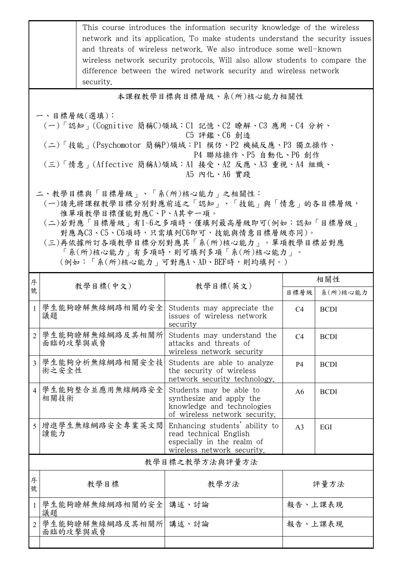|                                                                                                                                                                                                                                                                                | This course introduces the information security knowledge of the wireless<br>network and its application. To make students understand the security issues<br>and threats of wireless network. We also introduce some well-known<br>wireless network security protocols. Will also allow students to compare the<br>difference between the wired network security and wireless network<br>security. |                                                                                                                      |                |                 |  |  |
|--------------------------------------------------------------------------------------------------------------------------------------------------------------------------------------------------------------------------------------------------------------------------------|----------------------------------------------------------------------------------------------------------------------------------------------------------------------------------------------------------------------------------------------------------------------------------------------------------------------------------------------------------------------------------------------------|----------------------------------------------------------------------------------------------------------------------|----------------|-----------------|--|--|
|                                                                                                                                                                                                                                                                                |                                                                                                                                                                                                                                                                                                                                                                                                    | 本課程教學目標與目標層級、系(所)核心能力相關性                                                                                             |                |                 |  |  |
| 一、目標層級(選填):<br>(一)「認知」(Cognitive 簡稱C)領域:C1 記憶、C2 瞭解、C3 應用、C4 分析、<br>C5 評鑑、C6 創造<br>(二)「技能 <sub>」</sub> (Psychomotor 簡稱P)領域:P1 模仿、P2 機械反應、P3 獨立操作、<br>P4 聯結操作、P5 自動化、P6 創作<br>(三)「情意」(Affective 簡稱A)領域:A1 接受、A2 反應、A3 重視、A4 組織、<br>A5 内化、A6 實踐<br>二、教學目標與「目標層級」、「系(所)核心能力」之相關性: |                                                                                                                                                                                                                                                                                                                                                                                                    |                                                                                                                      |                |                 |  |  |
| (一)請先將課程教學目標分別對應前述之「認知」、「技能」與「情意」的各目標層級,<br>惟單項教學目標僅能對應C、P、A其中一項。<br>(二)若對應「目標層級」有1~6之多項時,僅填列最高層級即可(例如:認知「目標層級」<br>對應為C3、C5、C6項時,只需填列C6即可,技能與情意目標層級亦同)。<br>(三)再依據所訂各項教學目標分別對應其「系(所)核心能力」。單項教學目標若對應<br>「系(所)核心能力」有多項時,則可填列多項「系(所)核心能力」。<br>(例如:「系(所)核心能力   可對應A、AD、BEF時,則均填列。)  |                                                                                                                                                                                                                                                                                                                                                                                                    |                                                                                                                      |                |                 |  |  |
| 序<br>號                                                                                                                                                                                                                                                                         | 教學目標(中文)                                                                                                                                                                                                                                                                                                                                                                                           | 教學目標(英文)                                                                                                             | 目標層級           | 相關性<br>系(所)核心能力 |  |  |
| $\mathbf{1}$                                                                                                                                                                                                                                                                   | 學生能夠瞭解無線網路相關的安全<br>議題                                                                                                                                                                                                                                                                                                                                                                              | Students may appreciate the<br>issues of wireless network<br>security                                                | C <sub>4</sub> | <b>BCDI</b>     |  |  |
| $\overline{2}$                                                                                                                                                                                                                                                                 | 學生能夠瞭解無線網路及其相關所<br>面臨的攻擊與威脅                                                                                                                                                                                                                                                                                                                                                                        | Students may understand the<br>attacks and threats of<br>wireless network security                                   | C <sub>4</sub> | <b>BCDI</b>     |  |  |
| $\overline{3}$                                                                                                                                                                                                                                                                 | 學生能夠分析無線網路相關安全技<br>術之安全性                                                                                                                                                                                                                                                                                                                                                                           | Students are able to analyze<br>the security of wireless<br>network security technology.                             | P4             | <b>BCDI</b>     |  |  |
| $\overline{4}$                                                                                                                                                                                                                                                                 | 學生能夠整合並應用無線網路安全<br>相關技術                                                                                                                                                                                                                                                                                                                                                                            | Students may be able to<br>synthesize and apply the<br>knowledge and technologies<br>of wireless network security.   | A <sub>6</sub> | <b>BCDI</b>     |  |  |
| 5                                                                                                                                                                                                                                                                              | 增進學生無線網路安全專業英文閱<br>讀能力                                                                                                                                                                                                                                                                                                                                                                             | Enhancing students' ability to<br>read technical English<br>especially in the realm of<br>wireless network security. | A <sub>3</sub> | EGI             |  |  |
|                                                                                                                                                                                                                                                                                |                                                                                                                                                                                                                                                                                                                                                                                                    | 教學目標之教學方法與評量方法                                                                                                       |                |                 |  |  |
| 序<br>號                                                                                                                                                                                                                                                                         | 教學目標                                                                                                                                                                                                                                                                                                                                                                                               | 教學方法                                                                                                                 |                | 評量方法            |  |  |
| $\mathbf{1}$                                                                                                                                                                                                                                                                   | 學生能夠瞭解無線網路相關的安全<br>議題                                                                                                                                                                                                                                                                                                                                                                              | 講述、討論                                                                                                                | 報告、上課表現        |                 |  |  |
| $\overline{2}$                                                                                                                                                                                                                                                                 | 學生能夠瞭解無線網路及其相關所 講述、討論<br>面臨的攻擊與威脅                                                                                                                                                                                                                                                                                                                                                                  |                                                                                                                      | 報告、上課表現        |                 |  |  |
|                                                                                                                                                                                                                                                                                |                                                                                                                                                                                                                                                                                                                                                                                                    |                                                                                                                      |                |                 |  |  |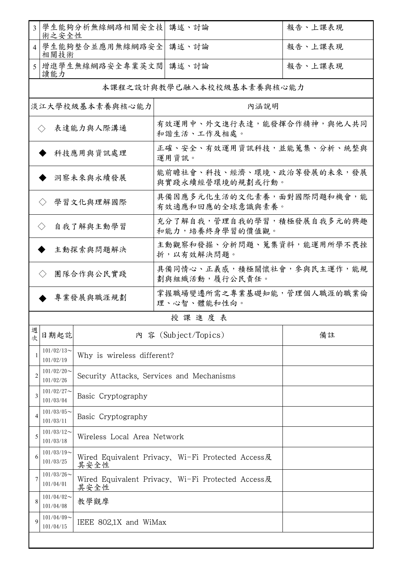| 3                                                      | 術之安全性                      | 學生能夠分析無線網路相關安全技             | 講述、討論                                             | 報告、上課表現 |
|--------------------------------------------------------|----------------------------|-----------------------------|---------------------------------------------------|---------|
| $\overline{4}$                                         | 相關技術                       | 學生能夠整合並應用無線網路安全             | 講述、討論                                             | 報告、上課表現 |
| 5                                                      | 讀能力                        | 增進學生無線網路安全專業英文閱             | 講述、討論                                             | 報告、上課表現 |
|                                                        |                            |                             | 本課程之設計與教學已融入本校校級基本素養與核心能力                         |         |
|                                                        |                            | 淡江大學校級基本素養與核心能力             | 內涵說明                                              |         |
|                                                        | $\langle \rangle$          | 表達能力與人際溝通                   | 有效運用中、外文進行表達,能發揮合作精神,與他人共同<br>和諧生活、工作及相處。         |         |
|                                                        |                            | 科技應用與資訊處理                   | 正確、安全、有效運用資訊科技,並能蒐集、分析、統整與<br>運用資訊。               |         |
|                                                        |                            | 洞察未來與永續發展                   | 能前瞻社會、科技、經濟、環境、政治等發展的未來,發展<br>與實踐永續經營環境的規劃或行動。    |         |
|                                                        | $\langle \rangle$          | 學習文化與理解國際                   | 具備因應多元化生活的文化素養,面對國際問題和機會,能<br>有效適應和回應的全球意識與素養。    |         |
|                                                        | $\langle \rangle$          | 自我了解與主動學習                   | 充分了解自我,管理自我的學習,積極發展自我多元的興趣<br>和能力,培養終身學習的價值觀。     |         |
|                                                        |                            | 主動探索與問題解決                   | 主動觀察和發掘、分析問題、蒐集資料,能運用所學不畏挫<br>折,以有效解決問題。          |         |
|                                                        | $\langle \rangle$          | 團隊合作與公民實踐                   | 具備同情心、正義感,積極關懷社會,參與民主運作,能規<br>劃與組織活動,履行公民責任。      |         |
| 掌握職場變遷所需之專業基礎知能,管理個人職涯的職業倫<br>專業發展與職涯規劃<br>理、心智、體能和性向。 |                            |                             |                                                   |         |
|                                                        |                            |                             | 授課進度表                                             |         |
| 週<br>次                                                 | 日期起訖                       |                             | 内 容 (Subject/Topics)                              | 備註      |
|                                                        | $101/02/13$ ~<br>101/02/19 | Why is wireless different?  |                                                   |         |
| 2                                                      | $101/02/20$ ~<br>101/02/26 |                             | Security Attacks, Services and Mechanisms         |         |
| 3                                                      | $101/02/27$ ~<br>101/03/04 | Basic Cryptography          |                                                   |         |
| 4                                                      | $101/03/05$ ~<br>101/03/11 | Basic Cryptography          |                                                   |         |
| 5                                                      | $101/03/12$ ~<br>101/03/18 | Wireless Local Area Network |                                                   |         |
| 6                                                      | $101/03/19$ ~<br>101/03/25 | 其安全性                        | Wired Equivalent Privacy, Wi-Fi Protected Access及 |         |
| 7                                                      | $101/03/26$ ~<br>101/04/01 | 其安全性                        | Wired Equivalent Privacy、Wi-Fi Protected Access及  |         |
| 8                                                      | $101/04/02$ ~<br>101/04/08 | 教學觀摩                        |                                                   |         |
| $\mathbf Q$                                            | $101/04/09$ ~<br>101/04/15 | IEEE 802.1X and WiMax       |                                                   |         |
|                                                        |                            |                             |                                                   |         |